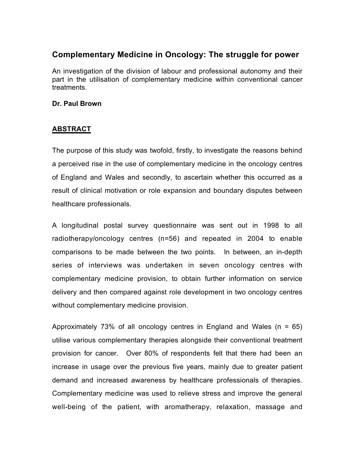## **Complementary Medicine in Oncology: The struggle for power**

An investigation of the division of labour and professional autonomy and their part in the utilisation of complementary medicine within conventional cancer treatments.

## **Dr. Paul Brown**

## **ABSTRACT**

The purpose of this study was twofold, firstly, to investigate the reasons behind a perceived rise in the use of complementary medicine in the oncology centres of England and Wales and secondly, to ascertain whether this occurred as a result of clinical motivation or role expansion and boundary disputes between healthcare professionals.

A longitudinal postal survey questionnaire was sent out in 1998 to all radiotherapy/oncology centres (n=56) and repeated in 2004 to enable comparisons to be made between the two points. In between, an in-depth series of interviews was undertaken in seven oncology centres with complementary medicine provision, to obtain further information on service delivery and then compared against role development in two oncology centres without complementary medicine provision.

Approximately 73% of all oncology centres in England and Wales ( $n = 65$ ) utilise various complementary therapies alongside their conventional treatment provision for cancer. Over 80% of respondents felt that there had been an increase in usage over the previous five years, mainly due to greater patient demand and increased awareness by healthcare professionals of therapies. Complementary medicine was used to relieve stress and improve the general well-being of the patient, with aromatherapy, relaxation, massage and